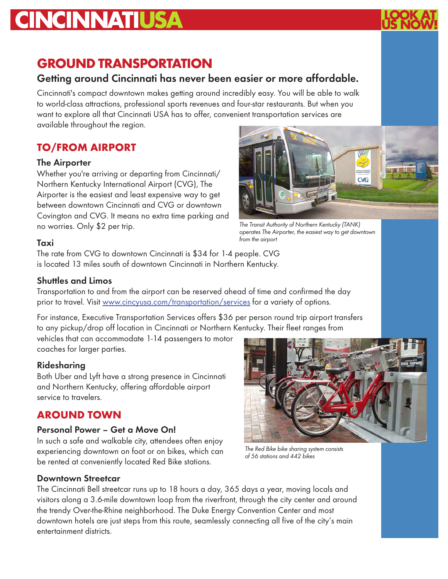# **CINCINNATIUSA**

# **GROUND TRANSPORTATION**

# Getting around Cincinnati has never been easier or more affordable.

Cincinnati's compact downtown makes getting around incredibly easy. You will be able to walk to world-class attractions, professional sports revenues and four-star restaurants. But when you want to explore all that Cincinnati USA has to offer, convenient transportation services are available throughout the region.

# **TO/FROM AIRPORT**

# The Airporter

Whether you're arriving or departing from Cincinnati/ Northern Kentucky International Airport (CVG), The Airporter is the easiest and least expensive way to get between downtown Cincinnati and CVG or downtown Covington and CVG. It means no extra time parking and no worries. Only \$2 per trip.



*The Transit Authority of Northern Kentucky (TANK) operates The Airporter, the easiest way to get downtown from the airport*

#### Taxi

The rate from CVG to downtown Cincinnati is \$34 for 1-4 people. CVG is located 13 miles south of downtown Cincinnati in Northern Kentucky.

# Shuttles and Limos

Transportation to and from the airport can be reserved ahead of time and confirmed the day prior to travel. Visit www.cincyusa.com/transportation/services for a variety of options.

For instance, Executive Transportation Services offers \$36 per person round trip airport transfers to any pickup/drop off location in Cincinnati or Northern Kentucky. Their fleet ranges from

vehicles that can accommodate 1-14 passengers to motor coaches for larger parties.

# Ridesharing

Both Uber and Lyft have a strong presence in Cincinnati and Northern Kentucky, offering affordable airport service to travelers.

# **AROUND TOWN**

#### Personal Power – Get a Move On!

In such a safe and walkable city, attendees often enjoy experiencing downtown on foot or on bikes, which can be rented at conveniently located Red Bike stations.



*The Red Bike bike sharing system consists of 56 stations and 442 bikes*

#### Downtown Streetcar

The Cincinnati Bell streetcar runs up to 18 hours a day, 365 days a year, moving locals and visitors along a 3.6-mile downtown loop from the riverfront, through the city center and around the trendy Over-the-Rhine neighborhood. The Duke Energy Convention Center and most downtown hotels are just steps from this route, seamlessly connecting all five of the city's main entertainment districts.